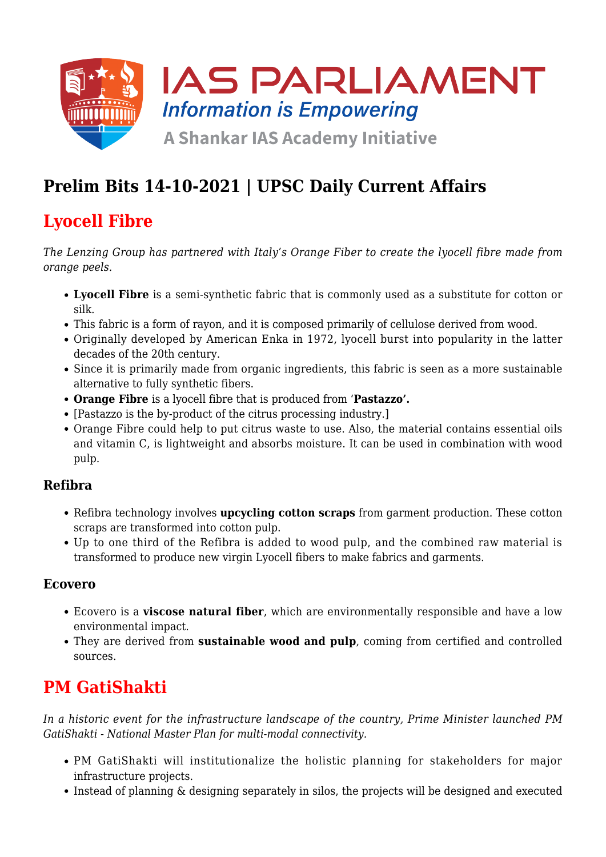

# **Prelim Bits 14-10-2021 | UPSC Daily Current Affairs**

### **Lyocell Fibre**

*The Lenzing Group has partnered with Italy's Orange Fiber to create the lyocell fibre made from orange peels.*

- **Lyocell Fibre** is a semi-synthetic fabric that is commonly used as a substitute for cotton or silk.
- This fabric is a form of rayon, and it is composed primarily of cellulose derived from wood.
- Originally developed by American Enka in 1972, lyocell burst into popularity in the latter decades of the 20th century.
- Since it is primarily made from organic ingredients, this fabric is seen as a more sustainable alternative to fully synthetic fibers.
- **Orange Fibre** is a lyocell fibre that is produced from '**Pastazzo'.**
- [Pastazzo is the by-product of the citrus processing industry.]
- Orange Fibre could help to put citrus waste to use. Also, the material contains essential oils and vitamin C, is lightweight and absorbs moisture. It can be used in combination with wood pulp.

#### **Refibra**

- Refibra technology involves **upcycling cotton scraps** from garment production. These cotton scraps are transformed into cotton pulp.
- Up to one third of the Refibra is added to wood pulp, and the combined raw material is transformed to produce new virgin Lyocell fibers to make fabrics and garments.

#### **Ecovero**

- Ecovero is a **viscose natural fiber**, which are environmentally responsible and have a low environmental impact.
- They are derived from **sustainable wood and pulp**, coming from certified and controlled sources.

### **PM GatiShakti**

*In a historic event for the infrastructure landscape of the country, Prime Minister launched PM GatiShakti - National Master Plan for multi-modal connectivity.*

- PM GatiShakti will institutionalize the holistic planning for stakeholders for major infrastructure projects.
- Instead of planning & designing separately in silos, the projects will be designed and executed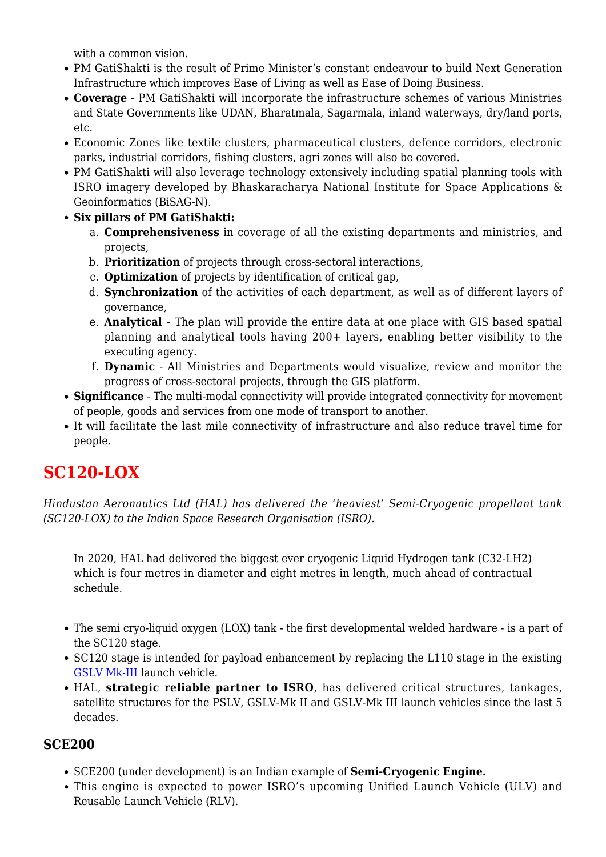with a common vision

- PM GatiShakti is the result of Prime Minister's constant endeavour to build Next Generation Infrastructure which improves Ease of Living as well as Ease of Doing Business.
- **Coverage** PM GatiShakti will incorporate the infrastructure schemes of various Ministries and State Governments like UDAN, Bharatmala, Sagarmala, inland waterways, dry/land ports, etc.
- Economic Zones like textile clusters, pharmaceutical clusters, defence corridors, electronic parks, industrial corridors, fishing clusters, agri zones will also be covered.
- PM GatiShakti will also leverage technology extensively including spatial planning tools with ISRO imagery developed by Bhaskaracharya National Institute for Space Applications & Geoinformatics (BiSAG-N).
- **Six pillars of PM GatiShakti:** 
	- a. **Comprehensiveness** in coverage of all the existing departments and ministries, and projects,
	- b. **Prioritization** of projects through cross-sectoral interactions,
	- c. **Optimization** of projects by identification of critical gap,
	- d. **Synchronization** of the activities of each department, as well as of different layers of governance,
	- e. **Analytical** The plan will provide the entire data at one place with GIS based spatial planning and analytical tools having 200+ layers, enabling better visibility to the executing agency.
	- f. **Dynamic** All Ministries and Departments would visualize, review and monitor the progress of cross-sectoral projects, through the GIS platform.
- **Significance** The multi-modal connectivity will provide integrated connectivity for movement of people, goods and services from one mode of transport to another.
- It will facilitate the last mile connectivity of infrastructure and also reduce travel time for people.

### **SC120-LOX**

*Hindustan Aeronautics Ltd (HAL) has delivered the 'heaviest' Semi-Cryogenic propellant tank (SC120-LOX) to the Indian Space Research Organisation (ISRO).*

In 2020, HAL had delivered the biggest ever cryogenic Liquid Hydrogen tank (C32-LH2) which is four metres in diameter and eight metres in length, much ahead of contractual schedule.

- The semi cryo-liquid oxygen (LOX) tank the first developmental welded hardware is a part of the SC120 stage.
- SC120 stage is intended for payload enhancement by replacing the L110 stage in the existing [GSLV Mk-III](https://www.iasparliament.com/stage/current-affairs/prelim-bits-22-07-2019) launch vehicle.
- HAL, **strategic reliable partner to ISRO**, has delivered critical structures, tankages, satellite structures for the PSLV, GSLV-Mk II and GSLV-Mk III launch vehicles since the last 5 decades.

#### **SCE200**

- SCE200 (under development) is an Indian example of **Semi-Cryogenic Engine.**
- This engine is expected to power ISRO's upcoming Unified Launch Vehicle (ULV) and Reusable Launch Vehicle (RLV).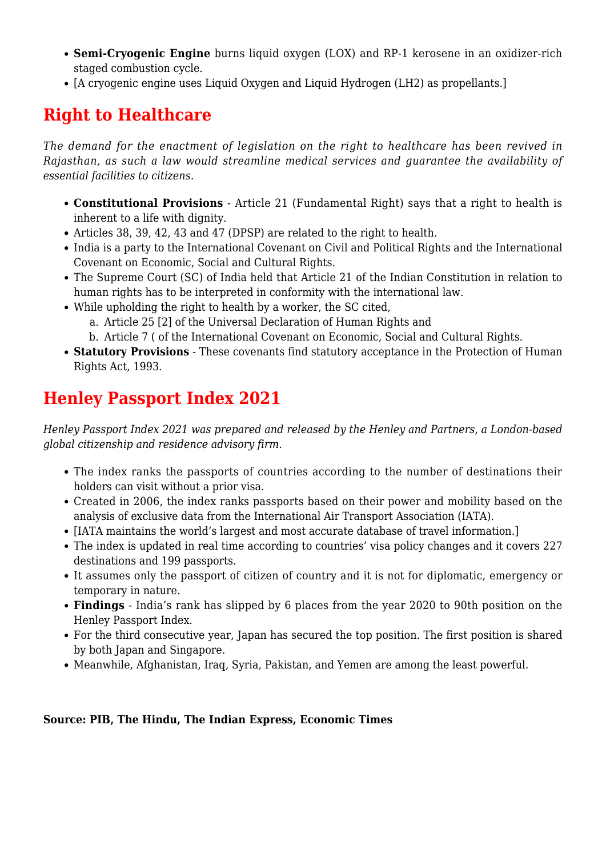- **Semi-Cryogenic Engine** burns liquid oxygen (LOX) and RP-1 kerosene in an oxidizer-rich staged combustion cycle.
- [A cryogenic engine uses Liquid Oxygen and Liquid Hydrogen (LH2) as propellants.]

#### **Right to Healthcare**

*The demand for the enactment of legislation on the right to healthcare has been revived in Rajasthan, as such a law would streamline medical services and guarantee the availability of essential facilities to citizens.*

- **Constitutional Provisions** Article 21 (Fundamental Right) says that a right to health is inherent to a life with dignity.
- Articles 38, 39, 42, 43 and 47 (DPSP) are related to the right to health.
- India is a party to the International Covenant on Civil and Political Rights and the International Covenant on Economic, Social and Cultural Rights.
- The Supreme Court (SC) of India held that Article 21 of the Indian Constitution in relation to human rights has to be interpreted in conformity with the international law.
- While upholding the right to health by a worker, the SC cited,
	- a. Article 25 [2] of the Universal Declaration of Human Rights and
	- b. Article 7 ( of the International Covenant on Economic, Social and Cultural Rights.
- **Statutory Provisions** These covenants find statutory acceptance in the Protection of Human Rights Act, 1993.

# **Henley Passport Index 2021**

*Henley Passport Index 2021 was prepared and released by the Henley and Partners, a London-based global citizenship and residence advisory firm.*

- The index ranks the passports of countries according to the number of destinations their holders can visit without a prior visa.
- Created in 2006, the index ranks passports based on their power and mobility based on the analysis of exclusive data from the International Air Transport Association (IATA).
- [IATA maintains the world's largest and most accurate database of travel information.]
- The index is updated in real time according to countries' visa policy changes and it covers 227 destinations and 199 passports.
- It assumes only the passport of citizen of country and it is not for diplomatic, emergency or temporary in nature.
- **Findings** India's rank has slipped by 6 places from the year 2020 to 90th position on the Henley Passport Index.
- For the third consecutive year, Japan has secured the top position. The first position is shared by both Japan and Singapore.
- Meanwhile, Afghanistan, Iraq, Syria, Pakistan, and Yemen are among the least powerful.

#### **Source: PIB, The Hindu, The Indian Express, Economic Times**